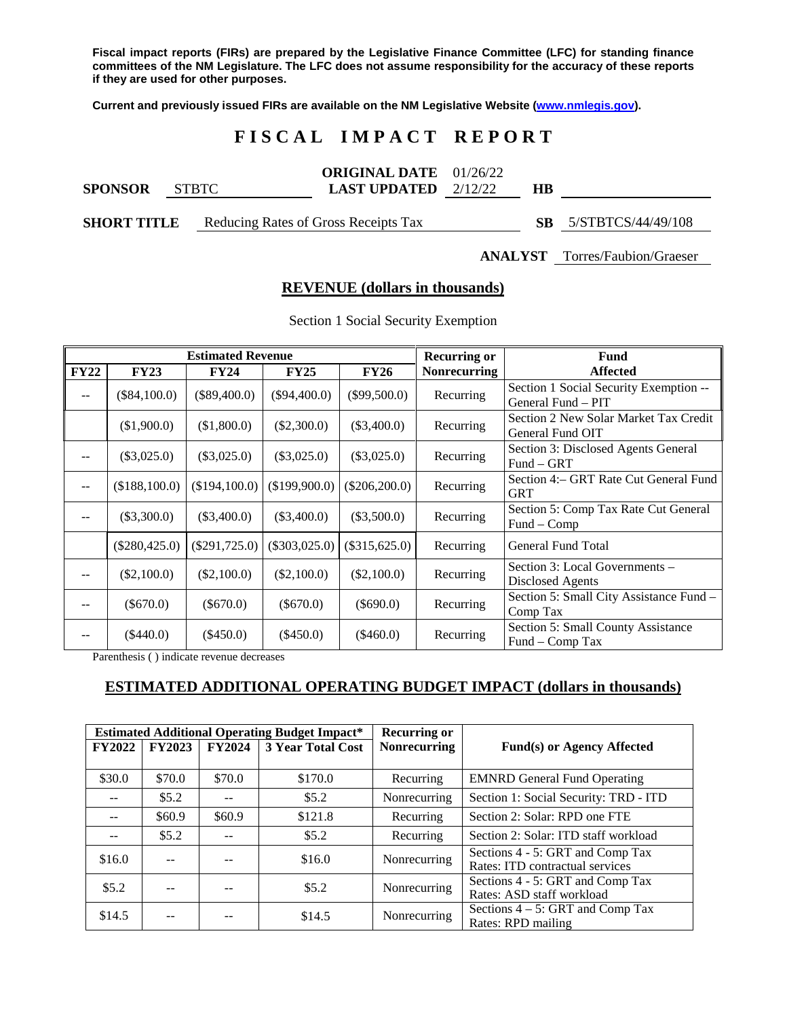**Fiscal impact reports (FIRs) are prepared by the Legislative Finance Committee (LFC) for standing finance committees of the NM Legislature. The LFC does not assume responsibility for the accuracy of these reports if they are used for other purposes.**

**Current and previously issued FIRs are available on the NM Legislative Website [\(www.nmlegis.gov\)](http://www.nmlegis.gov/).**

## **F I S C A L I M P A C T R E P O R T**

| <b>SPONSOR</b>     | <b>STRTC</b> | <b>ORIGINAL DATE</b> $01/26/22$<br><b>LAST UPDATED</b> $2/12/22$ | HВ |                    |
|--------------------|--------------|------------------------------------------------------------------|----|--------------------|
| <b>SHORT TITLE</b> |              | Reducing Rates of Gross Receipts Tax                             |    | 5/STBTCS/44/49/108 |

**ANALYST** Torres/Faubion/Graeser

#### **REVENUE (dollars in thousands)**

| <b>Estimated Revenue</b> |                 |                 |                 |                 | <b>Recurring or</b> | <b>Fund</b>                                               |
|--------------------------|-----------------|-----------------|-----------------|-----------------|---------------------|-----------------------------------------------------------|
| <b>FY22</b>              | <b>FY23</b>     | <b>FY24</b>     | <b>FY25</b>     | <b>FY26</b>     | <b>Nonrecurring</b> | <b>Affected</b>                                           |
| $-$                      | $(\$84,100.0)$  | $(\$89,400.0)$  | $(\$94,400.0)$  | $(\$99,500.0)$  | Recurring           | Section 1 Social Security Exemption --                    |
|                          |                 |                 |                 |                 |                     | General Fund - PIT                                        |
|                          | (\$1,900.0)     | (\$1,800.0)     | $(\$2,300.0)$   | $(\$3,400.0)$   | Recurring           | Section 2 New Solar Market Tax Credit<br>General Fund OIT |
|                          |                 |                 |                 |                 |                     |                                                           |
| --                       | $(\$3,025.0)$   | $(\$3,025.0)$   | $(\$3,025.0)$   | $(\$3,025.0)$   | Recurring           | Section 3: Disclosed Agents General                       |
|                          |                 |                 |                 |                 |                     | $Fund - GRT$                                              |
| --                       | (\$188,100.0)   | (\$194,100.0)   | (\$199,900.0)   | $(\$206,200.0)$ | Recurring           | Section 4: – GRT Rate Cut General Fund                    |
|                          |                 |                 |                 |                 |                     | <b>GRT</b>                                                |
|                          | $(\$3,300.0)$   | $(\$3,400.0)$   | $(\$3,400.0)$   | $(\$3,500.0)$   | Recurring           | Section 5: Comp Tax Rate Cut General                      |
|                          |                 |                 |                 |                 |                     | $Fund-Comp$                                               |
|                          | $(\$280,425.0)$ | $(\$291,725.0)$ | $(\$303,025.0)$ | $(\$315,625.0)$ | Recurring           | General Fund Total                                        |
|                          |                 |                 |                 |                 |                     |                                                           |
|                          | $(\$2,100.0)$   | (\$2,100.0)     | $(\$2,100.0)$   | (\$2,100.0)     | Recurring           | Section 3: Local Governments –                            |
|                          |                 |                 |                 |                 |                     | <b>Disclosed Agents</b>                                   |
|                          | $(\$670.0)$     | $(\$670.0)$     | $(\$670.0)$     | $(\$690.0)$     | Recurring           | Section 5: Small City Assistance Fund -                   |
| --                       |                 |                 |                 |                 | Comp Tax            |                                                           |
|                          |                 |                 |                 |                 |                     | Section 5: Small County Assistance                        |
|                          | $(\$440.0)$     | $(\$450.0)$     | $(\$450.0)$     | $(\$460.0)$     | Recurring           | Fund – Comp Tax                                           |

Section 1 Social Security Exemption

Parenthesis ( ) indicate revenue decreases

## **ESTIMATED ADDITIONAL OPERATING BUDGET IMPACT (dollars in thousands)**

|               |               |               | <b>Estimated Additional Operating Budget Impact*</b> | <b>Recurring or</b> |                                                                     |
|---------------|---------------|---------------|------------------------------------------------------|---------------------|---------------------------------------------------------------------|
| <b>FY2022</b> | <b>FY2023</b> | <b>FY2024</b> | <b>3 Year Total Cost</b>                             | <b>Nonrecurring</b> | <b>Fund(s) or Agency Affected</b>                                   |
| \$30.0        | \$70.0        | \$70.0        |                                                      |                     |                                                                     |
|               |               |               | \$170.0                                              | Recurring           | <b>EMNRD</b> General Fund Operating                                 |
|               | \$5.2\$       |               | \$5.2\$                                              | Nonrecurring        | Section 1: Social Security: TRD - ITD                               |
|               | \$60.9        | \$60.9        | \$121.8                                              | Recurring           | Section 2: Solar: RPD one FTE                                       |
|               | \$5.2\$       |               | \$5.2\$                                              | Recurring           | Section 2: Solar: ITD staff workload                                |
| \$16.0        | --            |               | \$16.0                                               | Nonrecurring        | Sections 4 - 5: GRT and Comp Tax<br>Rates: ITD contractual services |
| \$5.2\$       | --            |               | \$5.2\$                                              | Nonrecurring        | Sections 4 - 5: GRT and Comp Tax<br>Rates: ASD staff workload       |
| \$14.5        |               |               | \$14.5                                               | Nonrecurring        | Sections $4 - 5$ : GRT and Comp Tax<br>Rates: RPD mailing           |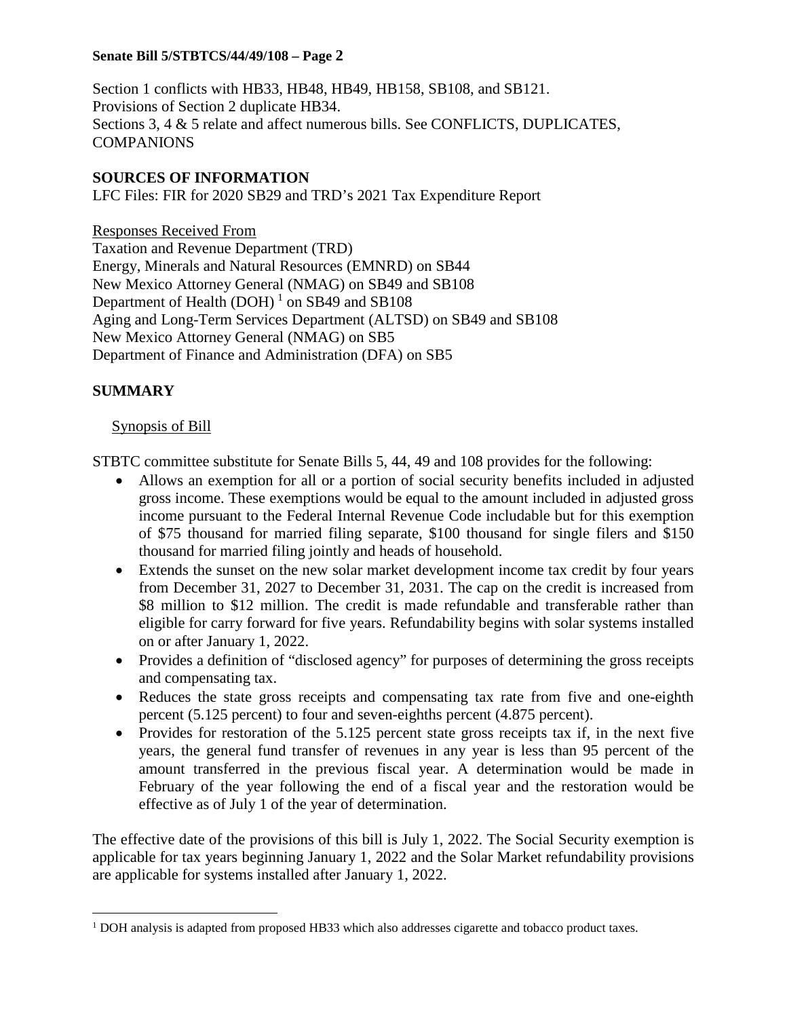Section 1 conflicts with HB33, HB48, HB49, HB158, SB108, and SB121. Provisions of Section 2 duplicate HB34. Sections 3, 4 & 5 relate and affect numerous bills. See CONFLICTS, DUPLICATES, COMPANIONS

## **SOURCES OF INFORMATION**

LFC Files: FIR for 2020 SB29 and TRD's 2021 Tax Expenditure Report

Responses Received From Taxation and Revenue Department (TRD) Energy, Minerals and Natural Resources (EMNRD) on SB44 New Mexico Attorney General (NMAG) on SB49 and SB108 Department of Health  $(DOH)^1$  $(DOH)^1$  on SB49 and SB108 Aging and Long-Term Services Department (ALTSD) on SB49 and SB108 New Mexico Attorney General (NMAG) on SB5 Department of Finance and Administration (DFA) on SB5

## **SUMMARY**

## Synopsis of Bill

STBTC committee substitute for Senate Bills 5, 44, 49 and 108 provides for the following:

- Allows an exemption for all or a portion of social security benefits included in adjusted gross income. These exemptions would be equal to the amount included in adjusted gross income pursuant to the Federal Internal Revenue Code includable but for this exemption of \$75 thousand for married filing separate, \$100 thousand for single filers and \$150 thousand for married filing jointly and heads of household.
- Extends the sunset on the new solar market development income tax credit by four years from December 31, 2027 to December 31, 2031. The cap on the credit is increased from \$8 million to \$12 million. The credit is made refundable and transferable rather than eligible for carry forward for five years. Refundability begins with solar systems installed on or after January 1, 2022.
- Provides a definition of "disclosed agency" for purposes of determining the gross receipts and compensating tax.
- Reduces the state gross receipts and compensating tax rate from five and one-eighth percent (5.125 percent) to four and seven-eighths percent (4.875 percent).
- Provides for restoration of the 5.125 percent state gross receipts tax if, in the next five years, the general fund transfer of revenues in any year is less than 95 percent of the amount transferred in the previous fiscal year. A determination would be made in February of the year following the end of a fiscal year and the restoration would be effective as of July 1 of the year of determination.

The effective date of the provisions of this bill is July 1, 2022. The Social Security exemption is applicable for tax years beginning January 1, 2022 and the Solar Market refundability provisions are applicable for systems installed after January 1, 2022.

<span id="page-1-0"></span><sup>&</sup>lt;sup>1</sup> DOH analysis is adapted from proposed HB33 which also addresses cigarette and tobacco product taxes.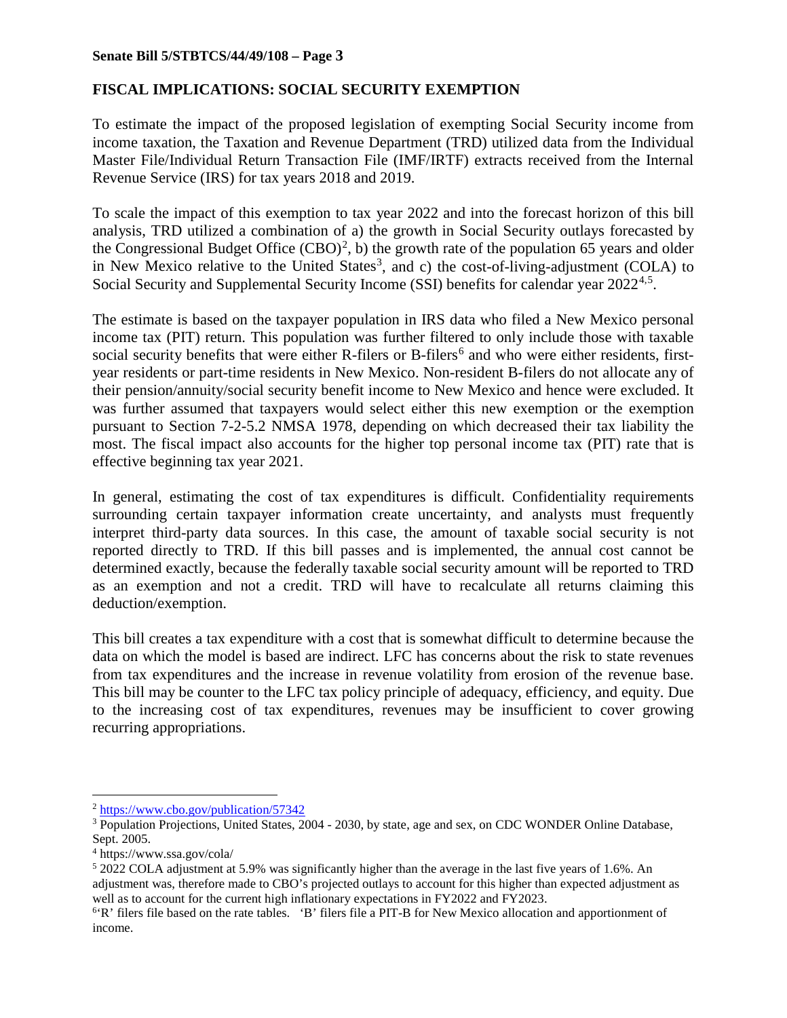## **FISCAL IMPLICATIONS: SOCIAL SECURITY EXEMPTION**

To estimate the impact of the proposed legislation of exempting Social Security income from income taxation, the Taxation and Revenue Department (TRD) utilized data from the Individual Master File/Individual Return Transaction File (IMF/IRTF) extracts received from the Internal Revenue Service (IRS) for tax years 2018 and 2019.

To scale the impact of this exemption to tax year 2022 and into the forecast horizon of this bill analysis, TRD utilized a combination of a) the growth in Social Security outlays forecasted by the Congressional Budget Office  $(CBO)^2$  $(CBO)^2$ , b) the growth rate of the population 65 years and older in New Mexico relative to the United States<sup>[3](#page-2-1)</sup>, and c) the cost-of-living-adjustment (COLA) to Social Security and Supplemental Security Income (SSI) benefits for calendar year 2022<sup>[4](#page-2-2),[5](#page-2-3)</sup>.

The estimate is based on the taxpayer population in IRS data who filed a New Mexico personal income tax (PIT) return. This population was further filtered to only include those with taxable social security benefits that were either R-filers or B-filers<sup>[6](#page-2-4)</sup> and who were either residents, firstyear residents or part-time residents in New Mexico. Non-resident B-filers do not allocate any of their pension/annuity/social security benefit income to New Mexico and hence were excluded. It was further assumed that taxpayers would select either this new exemption or the exemption pursuant to Section 7-2-5.2 NMSA 1978, depending on which decreased their tax liability the most. The fiscal impact also accounts for the higher top personal income tax (PIT) rate that is effective beginning tax year 2021.

In general, estimating the cost of tax expenditures is difficult. Confidentiality requirements surrounding certain taxpayer information create uncertainty, and analysts must frequently interpret third-party data sources. In this case, the amount of taxable social security is not reported directly to TRD. If this bill passes and is implemented, the annual cost cannot be determined exactly, because the federally taxable social security amount will be reported to TRD as an exemption and not a credit. TRD will have to recalculate all returns claiming this deduction/exemption.

This bill creates a tax expenditure with a cost that is somewhat difficult to determine because the data on which the model is based are indirect. LFC has concerns about the risk to state revenues from tax expenditures and the increase in revenue volatility from erosion of the revenue base. This bill may be counter to the LFC tax policy principle of adequacy, efficiency, and equity. Due to the increasing cost of tax expenditures, revenues may be insufficient to cover growing recurring appropriations.

<span id="page-2-0"></span> <sup>2</sup> <https://www.cbo.gov/publication/57342>

<span id="page-2-1"></span><sup>&</sup>lt;sup>3</sup> Population Projections, United States, 2004 - 2030, by state, age and sex, on CDC WONDER Online Database, Sept. 2005.

<span id="page-2-2"></span><sup>4</sup> https://www.ssa.gov/cola/

<span id="page-2-3"></span> $52022$  COLA adjustment at 5.9% was significantly higher than the average in the last five years of 1.6%. An adjustment was, therefore made to CBO's projected outlays to account for this higher than expected adjustment as well as to account for the current high inflationary expectations in FY2022 and FY2023.

<span id="page-2-4"></span><sup>&</sup>lt;sup>6</sup>'R' filers file based on the rate tables. 'B' filers file a PIT-B for New Mexico allocation and apportionment of income.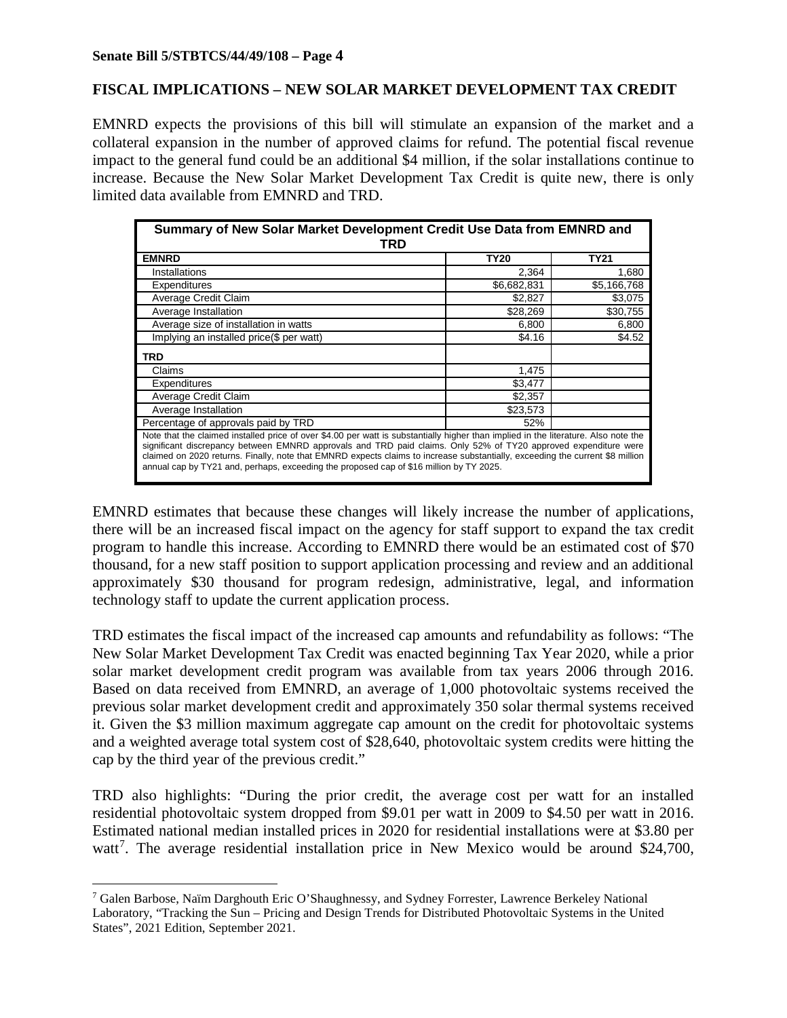## **FISCAL IMPLICATIONS – NEW SOLAR MARKET DEVELOPMENT TAX CREDIT**

EMNRD expects the provisions of this bill will stimulate an expansion of the market and a collateral expansion in the number of approved claims for refund. The potential fiscal revenue impact to the general fund could be an additional \$4 million, if the solar installations continue to increase. Because the New Solar Market Development Tax Credit is quite new, there is only limited data available from EMNRD and TRD.

| Summary of New Solar Market Development Credit Use Data from EMNRD and<br>TRD                                                                                                                                                                                                                                                                                                                                                                                                      |             |             |  |  |
|------------------------------------------------------------------------------------------------------------------------------------------------------------------------------------------------------------------------------------------------------------------------------------------------------------------------------------------------------------------------------------------------------------------------------------------------------------------------------------|-------------|-------------|--|--|
| <b>EMNRD</b>                                                                                                                                                                                                                                                                                                                                                                                                                                                                       | <b>TY20</b> | <b>TY21</b> |  |  |
| Installations                                                                                                                                                                                                                                                                                                                                                                                                                                                                      | 2,364       | 1,680       |  |  |
| Expenditures                                                                                                                                                                                                                                                                                                                                                                                                                                                                       | \$6,682,831 | \$5,166,768 |  |  |
| Average Credit Claim                                                                                                                                                                                                                                                                                                                                                                                                                                                               | \$2,827     | \$3,075     |  |  |
| Average Installation                                                                                                                                                                                                                                                                                                                                                                                                                                                               | \$28,269    | \$30,755    |  |  |
| Average size of installation in watts                                                                                                                                                                                                                                                                                                                                                                                                                                              | 6,800       | 6,800       |  |  |
| Implying an installed price(\$ per watt)                                                                                                                                                                                                                                                                                                                                                                                                                                           | \$4.16      | \$4.52      |  |  |
| TRD                                                                                                                                                                                                                                                                                                                                                                                                                                                                                |             |             |  |  |
| Claims                                                                                                                                                                                                                                                                                                                                                                                                                                                                             | 1,475       |             |  |  |
| Expenditures                                                                                                                                                                                                                                                                                                                                                                                                                                                                       | \$3,477     |             |  |  |
| Average Credit Claim                                                                                                                                                                                                                                                                                                                                                                                                                                                               | \$2,357     |             |  |  |
| Average Installation                                                                                                                                                                                                                                                                                                                                                                                                                                                               | \$23,573    |             |  |  |
| Percentage of approvals paid by TRD                                                                                                                                                                                                                                                                                                                                                                                                                                                | 52%         |             |  |  |
| Note that the claimed installed price of over \$4.00 per watt is substantially higher than implied in the literature. Also note the<br>significant discrepancy between EMNRD approvals and TRD paid claims. Only 52% of TY20 approved expenditure were<br>claimed on 2020 returns. Finally, note that EMNRD expects claims to increase substantially, exceeding the current \$8 million<br>annual cap by TY21 and, perhaps, exceeding the proposed cap of \$16 million by TY 2025. |             |             |  |  |

EMNRD estimates that because these changes will likely increase the number of applications, there will be an increased fiscal impact on the agency for staff support to expand the tax credit program to handle this increase. According to EMNRD there would be an estimated cost of \$70 thousand, for a new staff position to support application processing and review and an additional approximately \$30 thousand for program redesign, administrative, legal, and information technology staff to update the current application process.

TRD estimates the fiscal impact of the increased cap amounts and refundability as follows: "The New Solar Market Development Tax Credit was enacted beginning Tax Year 2020, while a prior solar market development credit program was available from tax years 2006 through 2016. Based on data received from EMNRD, an average of 1,000 photovoltaic systems received the previous solar market development credit and approximately 350 solar thermal systems received it. Given the \$3 million maximum aggregate cap amount on the credit for photovoltaic systems and a weighted average total system cost of \$28,640, photovoltaic system credits were hitting the cap by the third year of the previous credit."

TRD also highlights: "During the prior credit, the average cost per watt for an installed residential photovoltaic system dropped from \$9.01 per watt in 2009 to \$4.50 per watt in 2016. Estimated national median installed prices in 2020 for residential installations were at \$3.80 per watt<sup>[7](#page-3-0)</sup>. The average residential installation price in New Mexico would be around \$24,700,

<span id="page-3-0"></span> <sup>7</sup> Galen Barbose, Naïm Darghouth Eric O'Shaughnessy, and Sydney Forrester, Lawrence Berkeley National Laboratory, "Tracking the Sun – Pricing and Design Trends for Distributed Photovoltaic Systems in the United States", 2021 Edition, September 2021.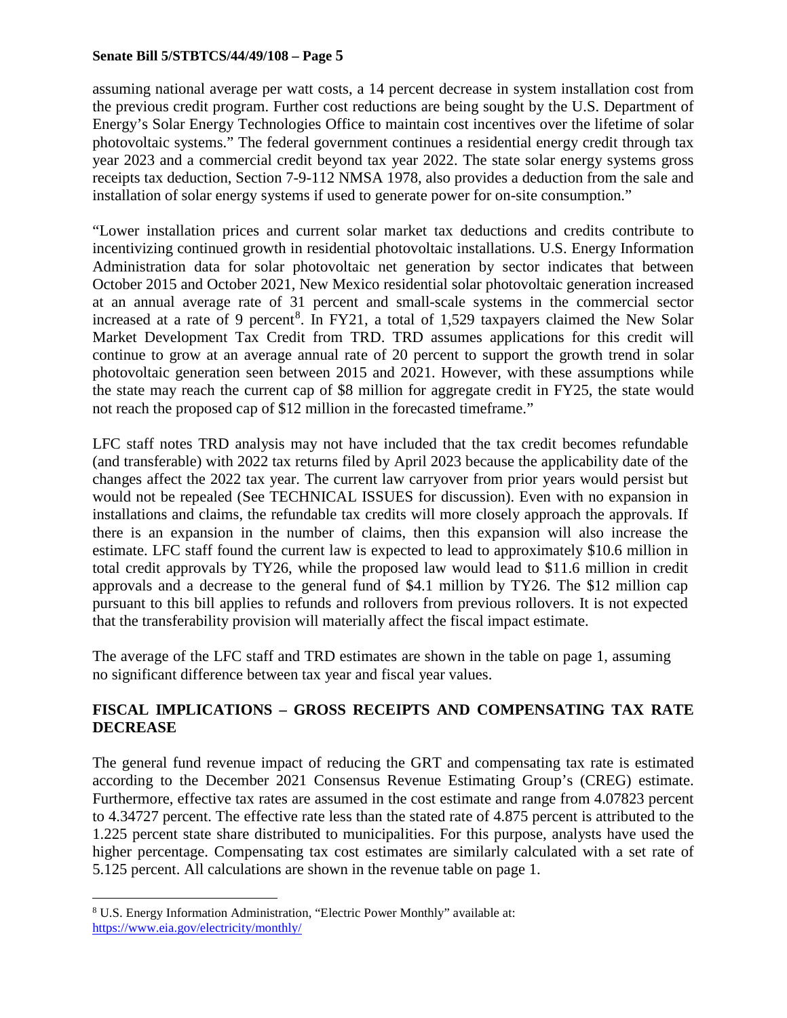assuming national average per watt costs, a 14 percent decrease in system installation cost from the previous credit program. Further cost reductions are being sought by the U.S. Department of Energy's Solar Energy Technologies Office to maintain cost incentives over the lifetime of solar photovoltaic systems." The federal government continues a residential energy credit through tax year 2023 and a commercial credit beyond tax year 2022. The state solar energy systems gross receipts tax deduction, Section 7-9-112 NMSA 1978, also provides a deduction from the sale and installation of solar energy systems if used to generate power for on-site consumption."

"Lower installation prices and current solar market tax deductions and credits contribute to incentivizing continued growth in residential photovoltaic installations. U.S. Energy Information Administration data for solar photovoltaic net generation by sector indicates that between October 2015 and October 2021, New Mexico residential solar photovoltaic generation increased at an annual average rate of 31 percent and small-scale systems in the commercial sector increased at a rate of 9 percent<sup>[8](#page-4-0)</sup>. In FY21, a total of 1,529 taxpayers claimed the New Solar Market Development Tax Credit from TRD. TRD assumes applications for this credit will continue to grow at an average annual rate of 20 percent to support the growth trend in solar photovoltaic generation seen between 2015 and 2021. However, with these assumptions while the state may reach the current cap of \$8 million for aggregate credit in FY25, the state would not reach the proposed cap of \$12 million in the forecasted timeframe."

LFC staff notes TRD analysis may not have included that the tax credit becomes refundable (and transferable) with 2022 tax returns filed by April 2023 because the applicability date of the changes affect the 2022 tax year. The current law carryover from prior years would persist but would not be repealed (See TECHNICAL ISSUES for discussion). Even with no expansion in installations and claims, the refundable tax credits will more closely approach the approvals. If there is an expansion in the number of claims, then this expansion will also increase the estimate. LFC staff found the current law is expected to lead to approximately \$10.6 million in total credit approvals by TY26, while the proposed law would lead to \$11.6 million in credit approvals and a decrease to the general fund of \$4.1 million by TY26. The \$12 million cap pursuant to this bill applies to refunds and rollovers from previous rollovers. It is not expected that the transferability provision will materially affect the fiscal impact estimate.

The average of the LFC staff and TRD estimates are shown in the table on page 1, assuming no significant difference between tax year and fiscal year values.

## **FISCAL IMPLICATIONS – GROSS RECEIPTS AND COMPENSATING TAX RATE DECREASE**

The general fund revenue impact of reducing the GRT and compensating tax rate is estimated according to the December 2021 Consensus Revenue Estimating Group's (CREG) estimate. Furthermore, effective tax rates are assumed in the cost estimate and range from 4.07823 percent to 4.34727 percent. The effective rate less than the stated rate of 4.875 percent is attributed to the 1.225 percent state share distributed to municipalities. For this purpose, analysts have used the higher percentage. Compensating tax cost estimates are similarly calculated with a set rate of 5.125 percent. All calculations are shown in the revenue table on page 1.

<span id="page-4-0"></span> <sup>8</sup> U.S. Energy Information Administration, "Electric Power Monthly" available at: <https://www.eia.gov/electricity/monthly/>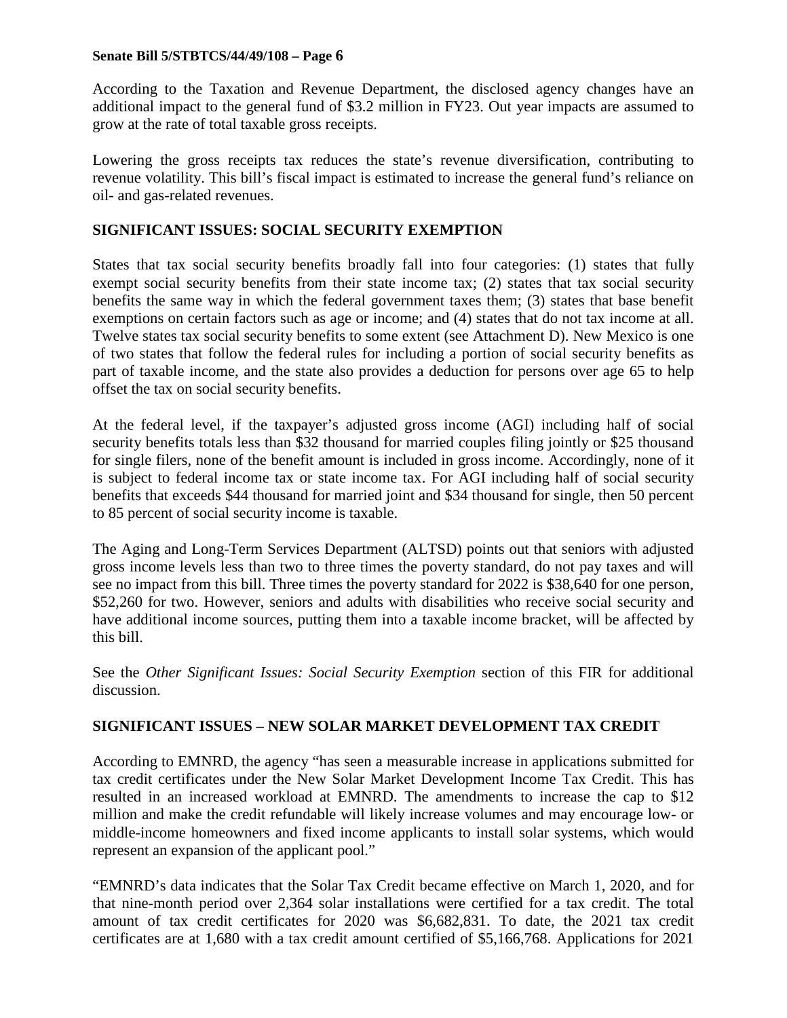According to the Taxation and Revenue Department, the disclosed agency changes have an additional impact to the general fund of \$3.2 million in FY23. Out year impacts are assumed to grow at the rate of total taxable gross receipts.

Lowering the gross receipts tax reduces the state's revenue diversification, contributing to revenue volatility. This bill's fiscal impact is estimated to increase the general fund's reliance on oil- and gas-related revenues.

## **SIGNIFICANT ISSUES: SOCIAL SECURITY EXEMPTION**

States that tax social security benefits broadly fall into four categories: (1) states that fully exempt social security benefits from their state income tax; (2) states that tax social security benefits the same way in which the federal government taxes them; (3) states that base benefit exemptions on certain factors such as age or income; and (4) states that do not tax income at all. Twelve states tax social security benefits to some extent (see Attachment D). New Mexico is one of two states that follow the federal rules for including a portion of social security benefits as part of taxable income, and the state also provides a deduction for persons over age 65 to help offset the tax on social security benefits.

At the federal level, if the taxpayer's adjusted gross income (AGI) including half of social security benefits totals less than \$32 thousand for married couples filing jointly or \$25 thousand for single filers, none of the benefit amount is included in gross income. Accordingly, none of it is subject to federal income tax or state income tax. For AGI including half of social security benefits that exceeds \$44 thousand for married joint and \$34 thousand for single, then 50 percent to 85 percent of social security income is taxable.

The Aging and Long-Term Services Department (ALTSD) points out that seniors with adjusted gross income levels less than two to three times the poverty standard, do not pay taxes and will see no impact from this bill. Three times the poverty standard for 2022 is \$38,640 for one person, \$52,260 for two. However, seniors and adults with disabilities who receive social security and have additional income sources, putting them into a taxable income bracket, will be affected by this bill.

See the *Other Significant Issues: Social Security Exemption* section of this FIR for additional discussion.

## **SIGNIFICANT ISSUES – NEW SOLAR MARKET DEVELOPMENT TAX CREDIT**

According to EMNRD, the agency "has seen a measurable increase in applications submitted for tax credit certificates under the New Solar Market Development Income Tax Credit. This has resulted in an increased workload at EMNRD. The amendments to increase the cap to \$12 million and make the credit refundable will likely increase volumes and may encourage low- or middle-income homeowners and fixed income applicants to install solar systems, which would represent an expansion of the applicant pool."

"EMNRD's data indicates that the Solar Tax Credit became effective on March 1, 2020, and for that nine-month period over 2,364 solar installations were certified for a tax credit. The total amount of tax credit certificates for 2020 was \$6,682,831. To date, the 2021 tax credit certificates are at 1,680 with a tax credit amount certified of \$5,166,768. Applications for 2021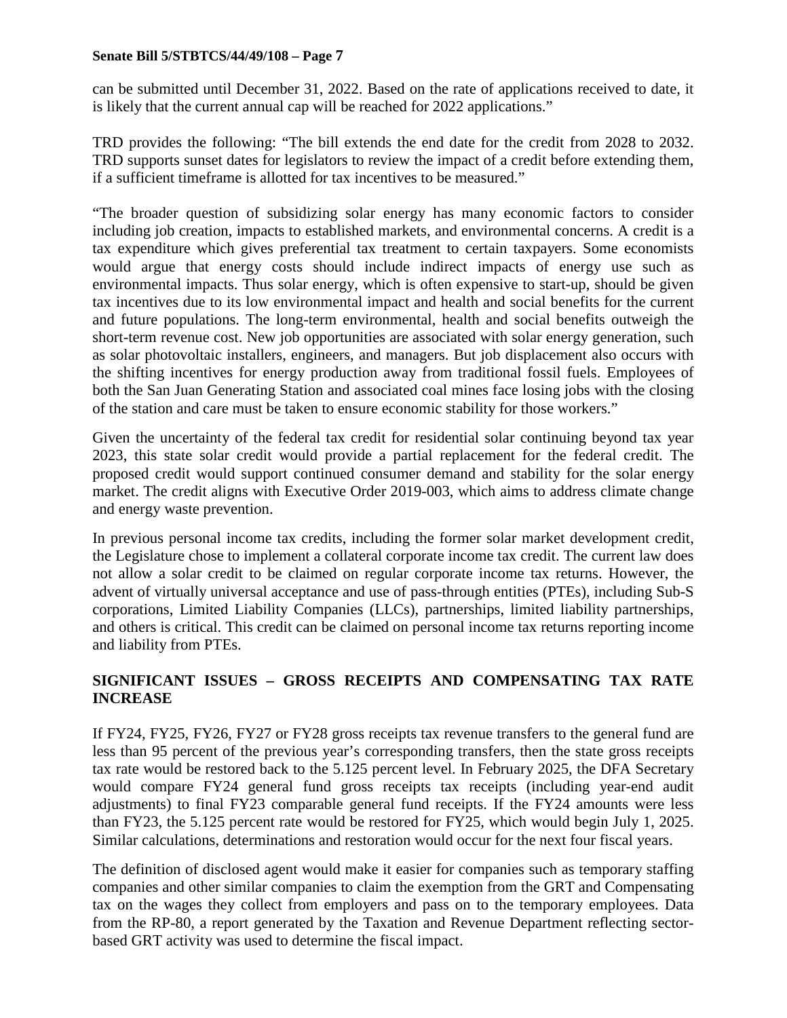can be submitted until December 31, 2022. Based on the rate of applications received to date, it is likely that the current annual cap will be reached for 2022 applications."

TRD provides the following: "The bill extends the end date for the credit from 2028 to 2032. TRD supports sunset dates for legislators to review the impact of a credit before extending them, if a sufficient timeframe is allotted for tax incentives to be measured."

"The broader question of subsidizing solar energy has many economic factors to consider including job creation, impacts to established markets, and environmental concerns. A credit is a tax expenditure which gives preferential tax treatment to certain taxpayers. Some economists would argue that energy costs should include indirect impacts of energy use such as environmental impacts. Thus solar energy, which is often expensive to start-up, should be given tax incentives due to its low environmental impact and health and social benefits for the current and future populations. The long-term environmental, health and social benefits outweigh the short-term revenue cost. New job opportunities are associated with solar energy generation, such as solar photovoltaic installers, engineers, and managers. But job displacement also occurs with the shifting incentives for energy production away from traditional fossil fuels. Employees of both the San Juan Generating Station and associated coal mines face losing jobs with the closing of the station and care must be taken to ensure economic stability for those workers."

Given the uncertainty of the federal tax credit for residential solar continuing beyond tax year 2023, this state solar credit would provide a partial replacement for the federal credit. The proposed credit would support continued consumer demand and stability for the solar energy market. The credit aligns with Executive Order 2019-003, which aims to address climate change and energy waste prevention.

In previous personal income tax credits, including the former solar market development credit, the Legislature chose to implement a collateral corporate income tax credit. The current law does not allow a solar credit to be claimed on regular corporate income tax returns. However, the advent of virtually universal acceptance and use of pass-through entities (PTEs), including Sub-S corporations, Limited Liability Companies (LLCs), partnerships, limited liability partnerships, and others is critical. This credit can be claimed on personal income tax returns reporting income and liability from PTEs.

## **SIGNIFICANT ISSUES – GROSS RECEIPTS AND COMPENSATING TAX RATE INCREASE**

If FY24, FY25, FY26, FY27 or FY28 gross receipts tax revenue transfers to the general fund are less than 95 percent of the previous year's corresponding transfers, then the state gross receipts tax rate would be restored back to the 5.125 percent level. In February 2025, the DFA Secretary would compare FY24 general fund gross receipts tax receipts (including year-end audit adjustments) to final FY23 comparable general fund receipts. If the FY24 amounts were less than FY23, the 5.125 percent rate would be restored for FY25, which would begin July 1, 2025. Similar calculations, determinations and restoration would occur for the next four fiscal years.

The definition of disclosed agent would make it easier for companies such as temporary staffing companies and other similar companies to claim the exemption from the GRT and Compensating tax on the wages they collect from employers and pass on to the temporary employees. Data from the RP-80, a report generated by the Taxation and Revenue Department reflecting sectorbased GRT activity was used to determine the fiscal impact.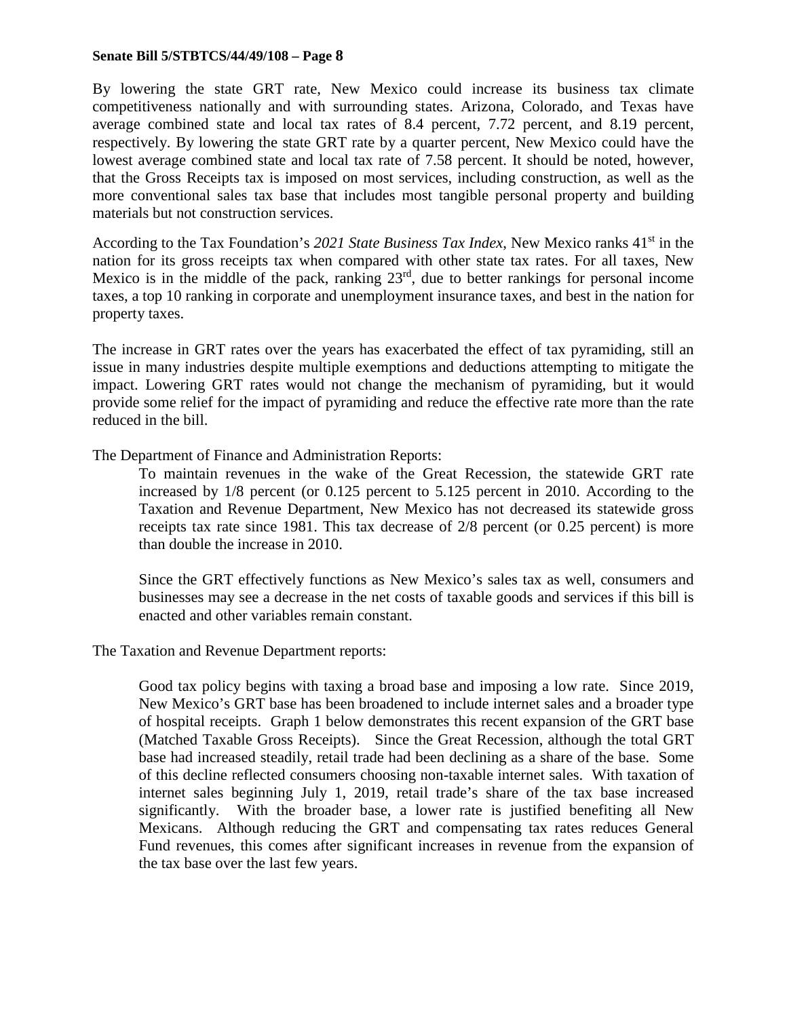By lowering the state GRT rate, New Mexico could increase its business tax climate competitiveness nationally and with surrounding states. Arizona, Colorado, and Texas have average combined state and local tax rates of 8.4 percent, 7.72 percent, and 8.19 percent, respectively. By lowering the state GRT rate by a quarter percent, New Mexico could have the lowest average combined state and local tax rate of 7.58 percent. It should be noted, however, that the Gross Receipts tax is imposed on most services, including construction, as well as the more conventional sales tax base that includes most tangible personal property and building materials but not construction services.

According to the Tax Foundation's 2021 State Business Tax Index, New Mexico ranks 41<sup>st</sup> in the nation for its gross receipts tax when compared with other state tax rates. For all taxes, New Mexico is in the middle of the pack, ranking  $23<sup>rd</sup>$ , due to better rankings for personal income taxes, a top 10 ranking in corporate and unemployment insurance taxes, and best in the nation for property taxes.

The increase in GRT rates over the years has exacerbated the effect of tax pyramiding, still an issue in many industries despite multiple exemptions and deductions attempting to mitigate the impact. Lowering GRT rates would not change the mechanism of pyramiding, but it would provide some relief for the impact of pyramiding and reduce the effective rate more than the rate reduced in the bill.

The Department of Finance and Administration Reports:

To maintain revenues in the wake of the Great Recession, the statewide GRT rate increased by 1/8 percent (or 0.125 percent to 5.125 percent in 2010. According to the Taxation and Revenue Department, New Mexico has not decreased its statewide gross receipts tax rate since 1981. This tax decrease of 2/8 percent (or 0.25 percent) is more than double the increase in 2010.

Since the GRT effectively functions as New Mexico's sales tax as well, consumers and businesses may see a decrease in the net costs of taxable goods and services if this bill is enacted and other variables remain constant.

The Taxation and Revenue Department reports:

Good tax policy begins with taxing a broad base and imposing a low rate. Since 2019, New Mexico's GRT base has been broadened to include internet sales and a broader type of hospital receipts. Graph 1 below demonstrates this recent expansion of the GRT base (Matched Taxable Gross Receipts). Since the Great Recession, although the total GRT base had increased steadily, retail trade had been declining as a share of the base. Some of this decline reflected consumers choosing non-taxable internet sales. With taxation of internet sales beginning July 1, 2019, retail trade's share of the tax base increased significantly. With the broader base, a lower rate is justified benefiting all New Mexicans. Although reducing the GRT and compensating tax rates reduces General Fund revenues, this comes after significant increases in revenue from the expansion of the tax base over the last few years.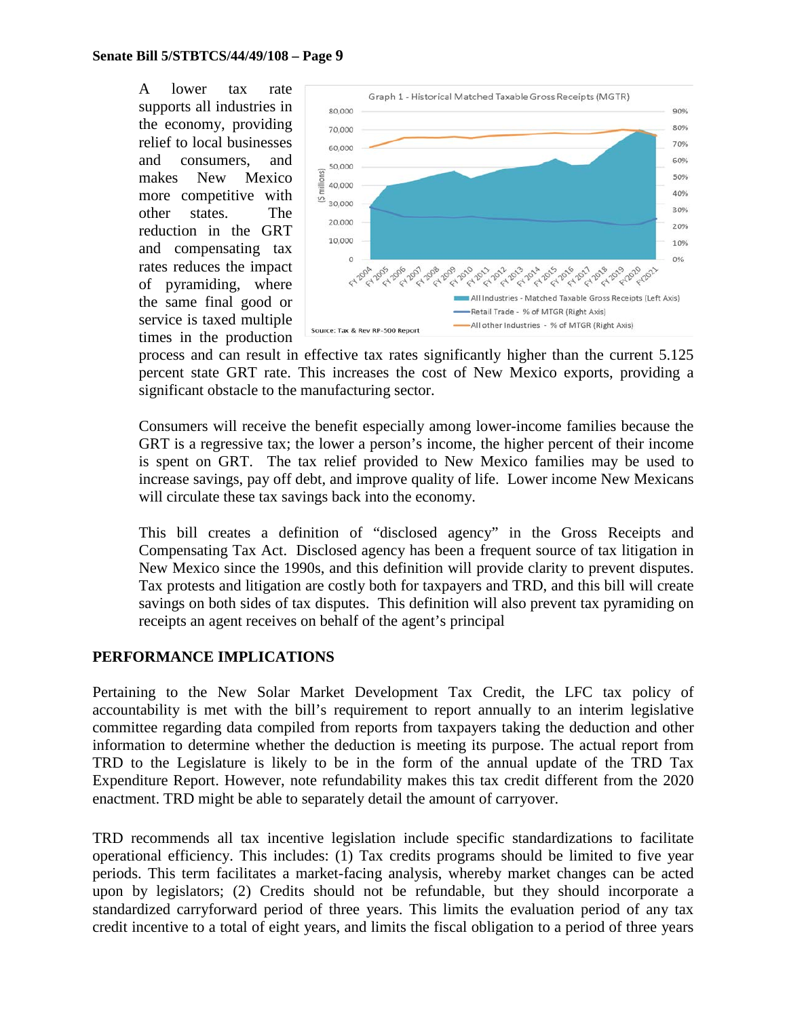A lower tax rate supports all industries in the economy, providing relief to local businesses and consumers, and makes New Mexico more competitive with other states. The reduction in the GRT and compensating tax rates reduces the impact of pyramiding, where the same final good or service is taxed multiple times in the production



process and can result in effective tax rates significantly higher than the current 5.125 percent state GRT rate. This increases the cost of New Mexico exports, providing a significant obstacle to the manufacturing sector.

Consumers will receive the benefit especially among lower-income families because the GRT is a regressive tax; the lower a person's income, the higher percent of their income is spent on GRT. The tax relief provided to New Mexico families may be used to increase savings, pay off debt, and improve quality of life. Lower income New Mexicans will circulate these tax savings back into the economy.

This bill creates a definition of "disclosed agency" in the Gross Receipts and Compensating Tax Act. Disclosed agency has been a frequent source of tax litigation in New Mexico since the 1990s, and this definition will provide clarity to prevent disputes. Tax protests and litigation are costly both for taxpayers and TRD, and this bill will create savings on both sides of tax disputes. This definition will also prevent tax pyramiding on receipts an agent receives on behalf of the agent's principal

## **PERFORMANCE IMPLICATIONS**

Pertaining to the New Solar Market Development Tax Credit, the LFC tax policy of accountability is met with the bill's requirement to report annually to an interim legislative committee regarding data compiled from reports from taxpayers taking the deduction and other information to determine whether the deduction is meeting its purpose. The actual report from TRD to the Legislature is likely to be in the form of the annual update of the TRD Tax Expenditure Report. However, note refundability makes this tax credit different from the 2020 enactment. TRD might be able to separately detail the amount of carryover.

TRD recommends all tax incentive legislation include specific standardizations to facilitate operational efficiency. This includes: (1) Tax credits programs should be limited to five year periods. This term facilitates a market-facing analysis, whereby market changes can be acted upon by legislators; (2) Credits should not be refundable, but they should incorporate a standardized carryforward period of three years. This limits the evaluation period of any tax credit incentive to a total of eight years, and limits the fiscal obligation to a period of three years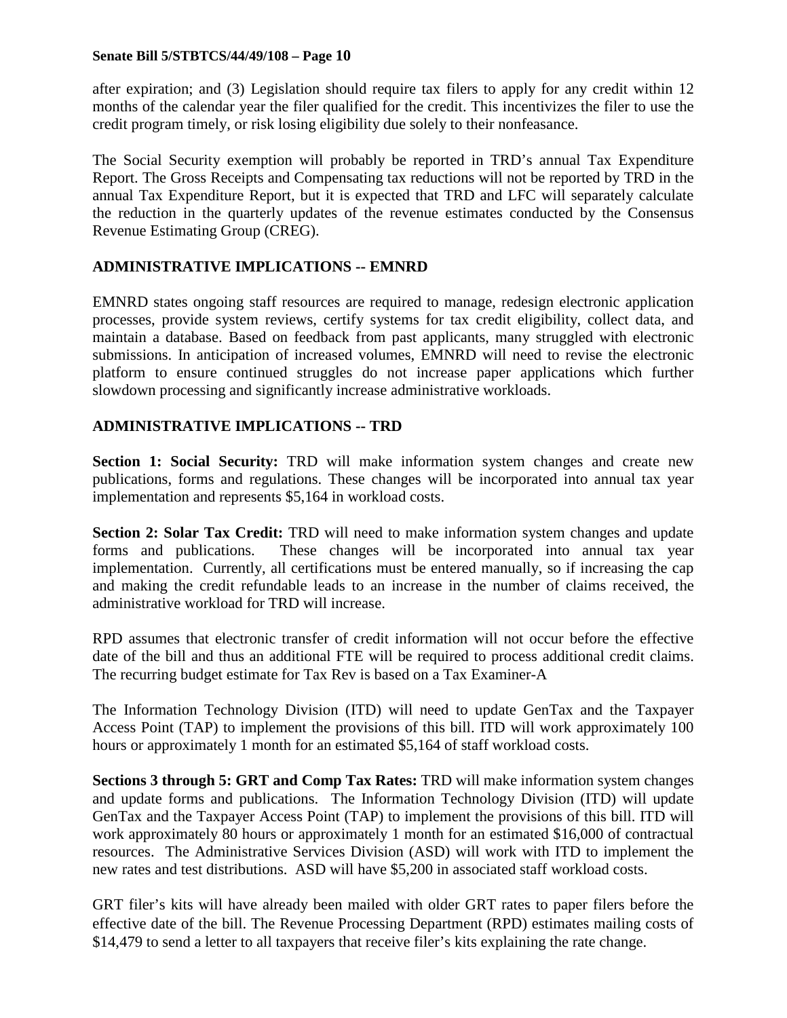after expiration; and (3) Legislation should require tax filers to apply for any credit within 12 months of the calendar year the filer qualified for the credit. This incentivizes the filer to use the credit program timely, or risk losing eligibility due solely to their nonfeasance.

The Social Security exemption will probably be reported in TRD's annual Tax Expenditure Report. The Gross Receipts and Compensating tax reductions will not be reported by TRD in the annual Tax Expenditure Report, but it is expected that TRD and LFC will separately calculate the reduction in the quarterly updates of the revenue estimates conducted by the Consensus Revenue Estimating Group (CREG).

## **ADMINISTRATIVE IMPLICATIONS -- EMNRD**

EMNRD states ongoing staff resources are required to manage, redesign electronic application processes, provide system reviews, certify systems for tax credit eligibility, collect data, and maintain a database. Based on feedback from past applicants, many struggled with electronic submissions. In anticipation of increased volumes, EMNRD will need to revise the electronic platform to ensure continued struggles do not increase paper applications which further slowdown processing and significantly increase administrative workloads.

## **ADMINISTRATIVE IMPLICATIONS -- TRD**

**Section 1: Social Security:** TRD will make information system changes and create new publications, forms and regulations. These changes will be incorporated into annual tax year implementation and represents \$5,164 in workload costs.

**Section 2: Solar Tax Credit:** TRD will need to make information system changes and update forms and publications. These changes will be incorporated into annual tax year implementation. Currently, all certifications must be entered manually, so if increasing the cap and making the credit refundable leads to an increase in the number of claims received, the administrative workload for TRD will increase.

RPD assumes that electronic transfer of credit information will not occur before the effective date of the bill and thus an additional FTE will be required to process additional credit claims. The recurring budget estimate for Tax Rev is based on a Tax Examiner-A

The Information Technology Division (ITD) will need to update GenTax and the Taxpayer Access Point (TAP) to implement the provisions of this bill. ITD will work approximately 100 hours or approximately 1 month for an estimated \$5,164 of staff workload costs.

**Sections 3 through 5: GRT and Comp Tax Rates:** TRD will make information system changes and update forms and publications. The Information Technology Division (ITD) will update GenTax and the Taxpayer Access Point (TAP) to implement the provisions of this bill. ITD will work approximately 80 hours or approximately 1 month for an estimated \$16,000 of contractual resources. The Administrative Services Division (ASD) will work with ITD to implement the new rates and test distributions. ASD will have \$5,200 in associated staff workload costs.

GRT filer's kits will have already been mailed with older GRT rates to paper filers before the effective date of the bill. The Revenue Processing Department (RPD) estimates mailing costs of \$14,479 to send a letter to all taxpayers that receive filer's kits explaining the rate change.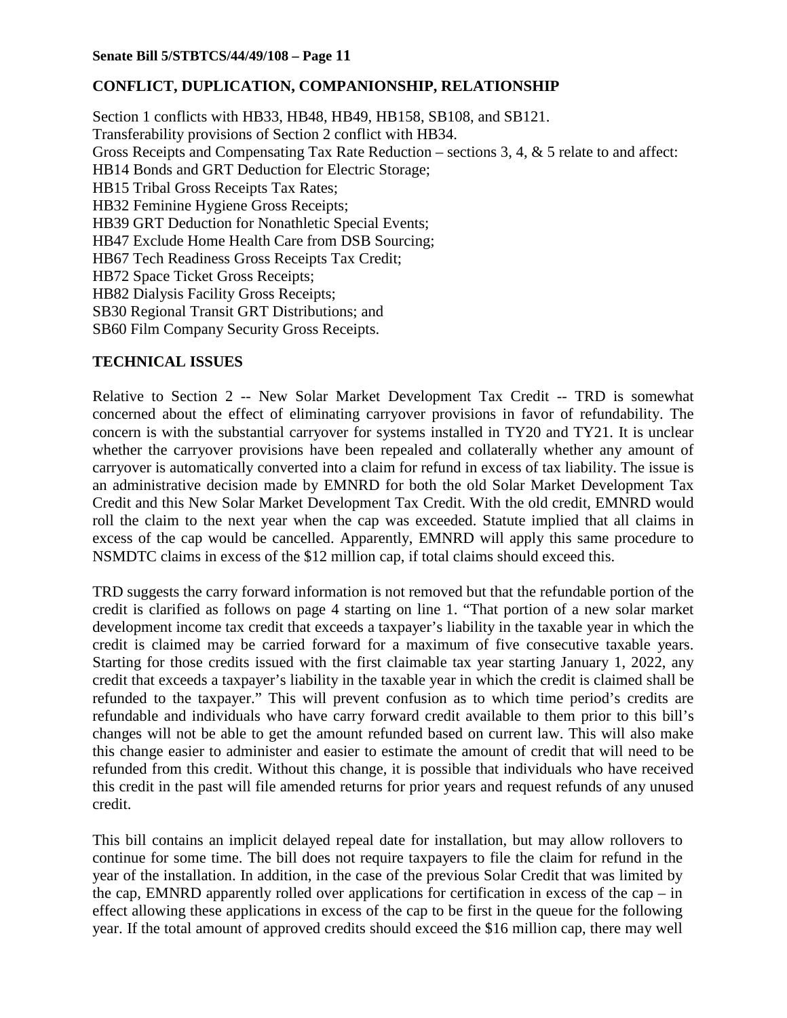## **CONFLICT, DUPLICATION, COMPANIONSHIP, RELATIONSHIP**

Section 1 conflicts with HB33, HB48, HB49, HB158, SB108, and SB121. Transferability provisions of Section 2 conflict with HB34. Gross Receipts and Compensating Tax Rate Reduction – sections 3, 4, & 5 relate to and affect: HB14 Bonds and GRT Deduction for Electric Storage; HB15 Tribal Gross Receipts Tax Rates; HB32 Feminine Hygiene Gross Receipts; HB39 GRT Deduction for Nonathletic Special Events; HB47 Exclude Home Health Care from DSB Sourcing; HB67 Tech Readiness Gross Receipts Tax Credit; HB72 Space Ticket Gross Receipts; HB82 Dialysis Facility Gross Receipts; SB30 Regional Transit GRT Distributions; and SB60 Film Company Security Gross Receipts.

## **TECHNICAL ISSUES**

Relative to Section 2 -- New Solar Market Development Tax Credit -- TRD is somewhat concerned about the effect of eliminating carryover provisions in favor of refundability. The concern is with the substantial carryover for systems installed in TY20 and TY21. It is unclear whether the carryover provisions have been repealed and collaterally whether any amount of carryover is automatically converted into a claim for refund in excess of tax liability. The issue is an administrative decision made by EMNRD for both the old Solar Market Development Tax Credit and this New Solar Market Development Tax Credit. With the old credit, EMNRD would roll the claim to the next year when the cap was exceeded. Statute implied that all claims in excess of the cap would be cancelled. Apparently, EMNRD will apply this same procedure to NSMDTC claims in excess of the \$12 million cap, if total claims should exceed this.

TRD suggests the carry forward information is not removed but that the refundable portion of the credit is clarified as follows on page 4 starting on line 1. "That portion of a new solar market development income tax credit that exceeds a taxpayer's liability in the taxable year in which the credit is claimed may be carried forward for a maximum of five consecutive taxable years. Starting for those credits issued with the first claimable tax year starting January 1, 2022, any credit that exceeds a taxpayer's liability in the taxable year in which the credit is claimed shall be refunded to the taxpayer." This will prevent confusion as to which time period's credits are refundable and individuals who have carry forward credit available to them prior to this bill's changes will not be able to get the amount refunded based on current law. This will also make this change easier to administer and easier to estimate the amount of credit that will need to be refunded from this credit. Without this change, it is possible that individuals who have received this credit in the past will file amended returns for prior years and request refunds of any unused credit.

This bill contains an implicit delayed repeal date for installation, but may allow rollovers to continue for some time. The bill does not require taxpayers to file the claim for refund in the year of the installation. In addition, in the case of the previous Solar Credit that was limited by the cap, EMNRD apparently rolled over applications for certification in excess of the cap – in effect allowing these applications in excess of the cap to be first in the queue for the following year. If the total amount of approved credits should exceed the \$16 million cap, there may well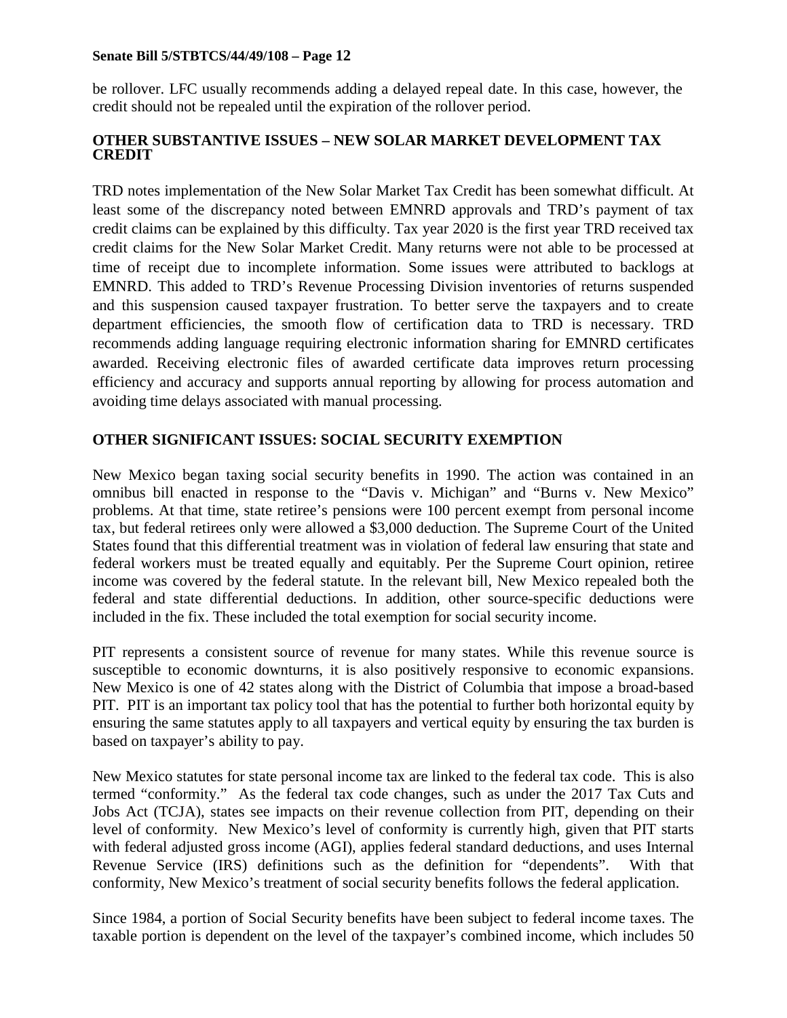be rollover. LFC usually recommends adding a delayed repeal date. In this case, however, the credit should not be repealed until the expiration of the rollover period.

## **OTHER SUBSTANTIVE ISSUES – NEW SOLAR MARKET DEVELOPMENT TAX CREDIT**

TRD notes implementation of the New Solar Market Tax Credit has been somewhat difficult. At least some of the discrepancy noted between EMNRD approvals and TRD's payment of tax credit claims can be explained by this difficulty. Tax year 2020 is the first year TRD received tax credit claims for the New Solar Market Credit. Many returns were not able to be processed at time of receipt due to incomplete information. Some issues were attributed to backlogs at EMNRD. This added to TRD's Revenue Processing Division inventories of returns suspended and this suspension caused taxpayer frustration. To better serve the taxpayers and to create department efficiencies, the smooth flow of certification data to TRD is necessary. TRD recommends adding language requiring electronic information sharing for EMNRD certificates awarded. Receiving electronic files of awarded certificate data improves return processing efficiency and accuracy and supports annual reporting by allowing for process automation and avoiding time delays associated with manual processing.

## **OTHER SIGNIFICANT ISSUES: SOCIAL SECURITY EXEMPTION**

New Mexico began taxing social security benefits in 1990. The action was contained in an omnibus bill enacted in response to the "Davis v. Michigan" and "Burns v. New Mexico" problems. At that time, state retiree's pensions were 100 percent exempt from personal income tax, but federal retirees only were allowed a \$3,000 deduction. The Supreme Court of the United States found that this differential treatment was in violation of federal law ensuring that state and federal workers must be treated equally and equitably. Per the Supreme Court opinion, retiree income was covered by the federal statute. In the relevant bill, New Mexico repealed both the federal and state differential deductions. In addition, other source-specific deductions were included in the fix. These included the total exemption for social security income.

PIT represents a consistent source of revenue for many states. While this revenue source is susceptible to economic downturns, it is also positively responsive to economic expansions. New Mexico is one of 42 states along with the District of Columbia that impose a broad-based PIT. PIT is an important tax policy tool that has the potential to further both horizontal equity by ensuring the same statutes apply to all taxpayers and vertical equity by ensuring the tax burden is based on taxpayer's ability to pay.

New Mexico statutes for state personal income tax are linked to the federal tax code. This is also termed "conformity." As the federal tax code changes, such as under the 2017 Tax Cuts and Jobs Act (TCJA), states see impacts on their revenue collection from PIT, depending on their level of conformity. New Mexico's level of conformity is currently high, given that PIT starts with federal adjusted gross income (AGI), applies federal standard deductions, and uses Internal Revenue Service (IRS) definitions such as the definition for "dependents". With that conformity, New Mexico's treatment of social security benefits follows the federal application.

Since 1984, a portion of Social Security benefits have been subject to federal income taxes. The taxable portion is dependent on the level of the taxpayer's combined income, which includes 50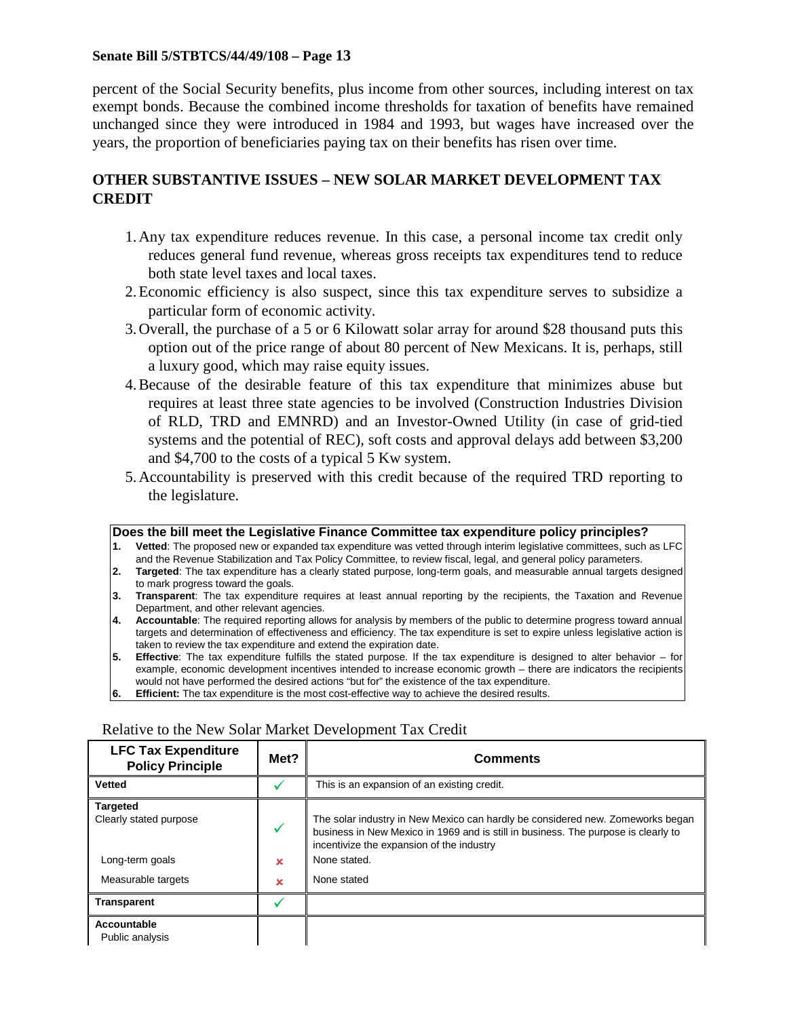percent of the Social Security benefits, plus income from other sources, including interest on tax exempt bonds. Because the combined income thresholds for taxation of benefits have remained unchanged since they were introduced in 1984 and 1993, but wages have increased over the years, the proportion of beneficiaries paying tax on their benefits has risen over time.

## **OTHER SUBSTANTIVE ISSUES – NEW SOLAR MARKET DEVELOPMENT TAX CREDIT**

- 1.Any tax expenditure reduces revenue. In this case, a personal income tax credit only reduces general fund revenue, whereas gross receipts tax expenditures tend to reduce both state level taxes and local taxes.
- 2.Economic efficiency is also suspect, since this tax expenditure serves to subsidize a particular form of economic activity.
- 3.Overall, the purchase of a 5 or 6 Kilowatt solar array for around \$28 thousand puts this option out of the price range of about 80 percent of New Mexicans. It is, perhaps, still a luxury good, which may raise equity issues.
- 4.Because of the desirable feature of this tax expenditure that minimizes abuse but requires at least three state agencies to be involved (Construction Industries Division of RLD, TRD and EMNRD) and an Investor-Owned Utility (in case of grid-tied systems and the potential of REC), soft costs and approval delays add between \$3,200 and \$4,700 to the costs of a typical 5 Kw system.
- 5.Accountability is preserved with this credit because of the required TRD reporting to the legislature.

#### **Does the bill meet the Legislative Finance Committee tax expenditure policy principles?**

- **1. Vetted**: The proposed new or expanded tax expenditure was vetted through interim legislative committees, such as LFC and the Revenue Stabilization and Tax Policy Committee, to review fiscal, legal, and general policy parameters.
- **2. Targeted**: The tax expenditure has a clearly stated purpose, long-term goals, and measurable annual targets designed to mark progress toward the goals.
- **3. Transparent**: The tax expenditure requires at least annual reporting by the recipients, the Taxation and Revenue Department, and other relevant agencies.
- **4. Accountable**: The required reporting allows for analysis by members of the public to determine progress toward annual targets and determination of effectiveness and efficiency. The tax expenditure is set to expire unless legislative action is taken to review the tax expenditure and extend the expiration date.
- **5. Effective**: The tax expenditure fulfills the stated purpose. If the tax expenditure is designed to alter behavior for example, economic development incentives intended to increase economic growth – there are indicators the recipients would not have performed the desired actions "but for" the existence of the tax expenditure.
- **6. Efficient:** The tax expenditure is the most cost-effective way to achieve the desired results.

| <b>LFC Tax Expenditure</b><br>Met?<br><b>Policy Principle</b> |   | <b>Comments</b>                                                                                                                                                                                                   |  |  |
|---------------------------------------------------------------|---|-------------------------------------------------------------------------------------------------------------------------------------------------------------------------------------------------------------------|--|--|
| <b>Vetted</b>                                                 |   | This is an expansion of an existing credit.                                                                                                                                                                       |  |  |
| <b>Targeted</b><br>Clearly stated purpose                     | ✓ | The solar industry in New Mexico can hardly be considered new. Zomeworks began<br>business in New Mexico in 1969 and is still in business. The purpose is clearly to<br>incentivize the expansion of the industry |  |  |
| Long-term goals                                               | × | None stated.                                                                                                                                                                                                      |  |  |
| Measurable targets                                            | × | None stated                                                                                                                                                                                                       |  |  |
| <b>Transparent</b>                                            |   |                                                                                                                                                                                                                   |  |  |
| Accountable<br>Public analysis                                |   |                                                                                                                                                                                                                   |  |  |

#### Relative to the New Solar Market Development Tax Credit